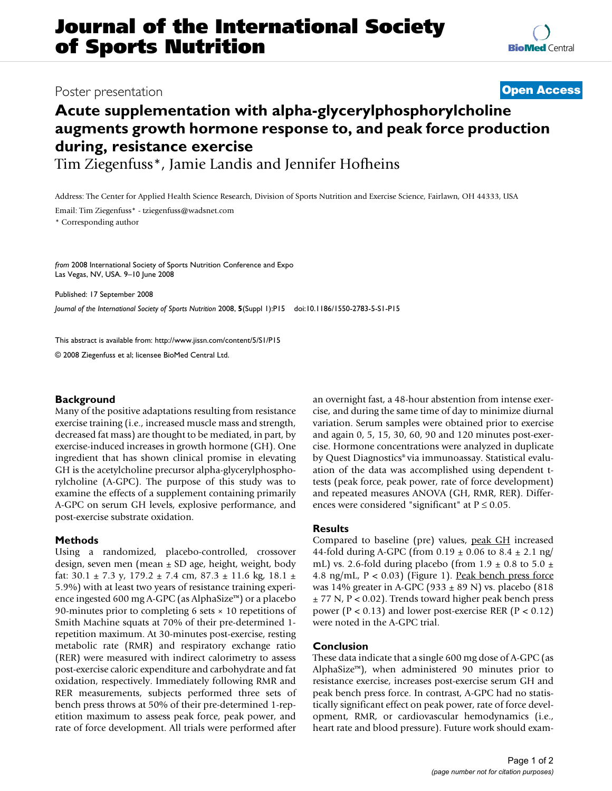## Poster presentation **Contract Contract Contract Contract Contract Contract Contract Contract Contract Contract Contract Contract Contract Contract Contract Contract Contract Contract Contract Contract Contract Contract Con**

# **Acute supplementation with alpha-glycerylphosphorylcholine augments growth hormone response to, and peak force production during, resistance exercise**

Tim Ziegenfuss\*, Jamie Landis and Jennifer Hofheins

Address: The Center for Applied Health Science Research, Division of Sports Nutrition and Exercise Science, Fairlawn, OH 44333, USA

Email: Tim Ziegenfuss\* - tziegenfuss@wadsnet.com

\* Corresponding author

*from* 2008 International Society of Sports Nutrition Conference and Expo Las Vegas, NV, USA. 9–10 June 2008

Published: 17 September 2008

*Journal of the International Society of Sports Nutrition* 2008, **5**(Suppl 1):P15 doi:10.1186/1550-2783-5-S1-P15

[This abstract is available from: http://www.jissn.com/content/5/S1/P15](http://www.jissn.com/content/5/S1/P15)

© 2008 Ziegenfuss et al; licensee BioMed Central Ltd.

#### **Background**

Many of the positive adaptations resulting from resistance exercise training (i.e., increased muscle mass and strength, decreased fat mass) are thought to be mediated, in part, by exercise-induced increases in growth hormone (GH). One ingredient that has shown clinical promise in elevating GH is the acetylcholine precursor alpha-glycerylphosphorylcholine (A-GPC). The purpose of this study was to examine the effects of a supplement containing primarily A-GPC on serum GH levels, explosive performance, and post-exercise substrate oxidation.

#### **Methods**

Using a randomized, placebo-controlled, crossover design, seven men (mean ± SD age, height, weight, body fat:  $30.1 \pm 7.3$  y,  $179.2 \pm 7.4$  cm,  $87.3 \pm 11.6$  kg,  $18.1 \pm$ 5.9%) with at least two years of resistance training experience ingested 600 mg A-GPC (as AlphaSize™) or a placebo 90-minutes prior to completing 6 sets × 10 repetitions of Smith Machine squats at 70% of their pre-determined 1 repetition maximum. At 30-minutes post-exercise, resting metabolic rate (RMR) and respiratory exchange ratio (RER) were measured with indirect calorimetry to assess post-exercise caloric expenditure and carbohydrate and fat oxidation, respectively. Immediately following RMR and RER measurements, subjects performed three sets of bench press throws at 50% of their pre-determined 1-repetition maximum to assess peak force, peak power, and rate of force development. All trials were performed after an overnight fast, a 48-hour abstention from intense exercise, and during the same time of day to minimize diurnal variation. Serum samples were obtained prior to exercise and again 0, 5, 15, 30, 60, 90 and 120 minutes post-exercise. Hormone concentrations were analyzed in duplicate by Quest Diagnostics® via immunoassay. Statistical evaluation of the data was accomplished using dependent ttests (peak force, peak power, rate of force development) and repeated measures ANOVA (GH, RMR, RER). Differences were considered "significant" at  $P \le 0.05$ .

### **Results**

Compared to baseline (pre) values, peak GH increased 44-fold during A-GPC (from  $0.19 \pm 0.06$  to  $8.4 \pm 2.1$  ng/ mL) vs. 2.6-fold during placebo (from  $1.9 \pm 0.8$  to  $5.0 \pm 1.5$ 4.8 ng/mL,  $P < 0.03$ ) (Figure 1). Peak bench press force was 14% greater in A-GPC (933  $\pm$  89 N) vs. placebo (818) ± 77 N, P < 0.02). Trends toward higher peak bench press power ( $P < 0.13$ ) and lower post-exercise RER ( $P < 0.12$ ) were noted in the A-GPC trial.

#### **Conclusion**

These data indicate that a single 600 mg dose of A-GPC (as AlphaSize™), when administered 90 minutes prior to resistance exercise, increases post-exercise serum GH and peak bench press force. In contrast, A-GPC had no statistically significant effect on peak power, rate of force development, RMR, or cardiovascular hemodynamics (i.e., heart rate and blood pressure). Future work should exam-